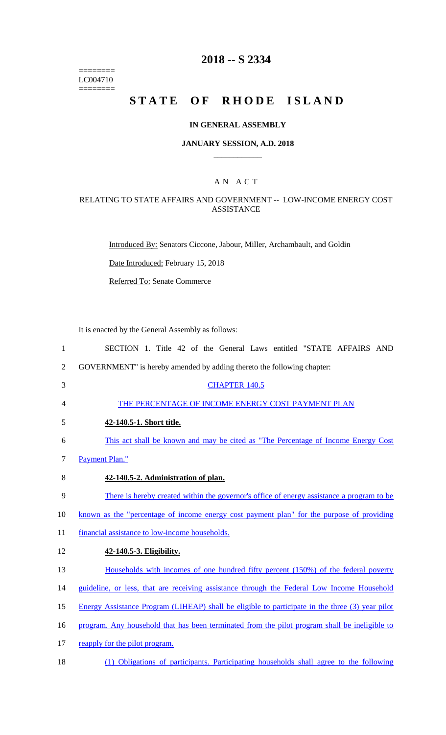======== LC004710 ========

## **2018 -- S 2334**

# **STATE OF RHODE ISLAND**

### **IN GENERAL ASSEMBLY**

#### **JANUARY SESSION, A.D. 2018 \_\_\_\_\_\_\_\_\_\_\_\_**

### A N A C T

### RELATING TO STATE AFFAIRS AND GOVERNMENT -- LOW-INCOME ENERGY COST ASSISTANCE

Introduced By: Senators Ciccone, Jabour, Miller, Archambault, and Goldin

Date Introduced: February 15, 2018

Referred To: Senate Commerce

It is enacted by the General Assembly as follows:

- 1 SECTION 1. Title 42 of the General Laws entitled "STATE AFFAIRS AND 2 GOVERNMENT" is hereby amended by adding thereto the following chapter: 3 CHAPTER 140.5 4 THE PERCENTAGE OF INCOME ENERGY COST PAYMENT PLAN 5 **42-140.5-1. Short title.**  6 This act shall be known and may be cited as "The Percentage of Income Energy Cost 7 Payment Plan." 8 **42-140.5-2. Administration of plan.**  9 There is hereby created within the governor's office of energy assistance a program to be 10 known as the "percentage of income energy cost payment plan" for the purpose of providing 11 financial assistance to low-income households. 12 **42-140.5-3. Eligibility.**  13 Households with incomes of one hundred fifty percent (150%) of the federal poverty 14 guideline, or less, that are receiving assistance through the Federal Low Income Household 15 Energy Assistance Program (LIHEAP) shall be eligible to participate in the three (3) year pilot 16 program. Any household that has been terminated from the pilot program shall be ineligible to 17 reapply for the pilot program.
- 18 (1) Obligations of participants. Participating households shall agree to the following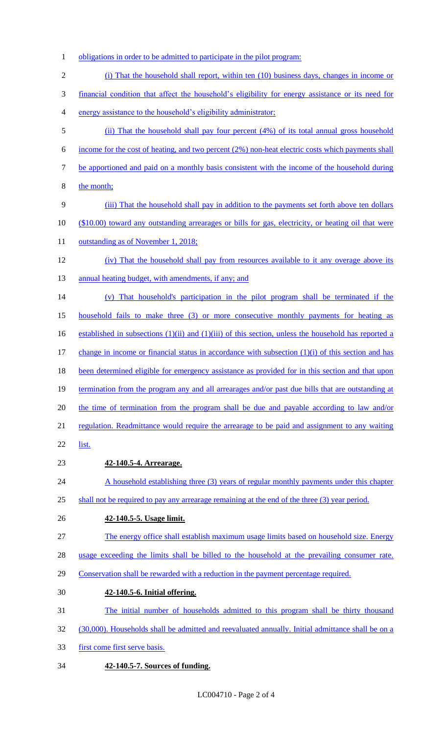- 1 obligations in order to be admitted to participate in the pilot program:
- (i) That the household shall report, within ten (10) business days, changes in income or financial condition that affect the household's eligibility for energy assistance or its need for energy assistance to the household's eligibility administrator; (ii) That the household shall pay four percent (4%) of its total annual gross household income for the cost of heating, and two percent (2%) non-heat electric costs which payments shall be apportioned and paid on a monthly basis consistent with the income of the household during the month; (iii) That the household shall pay in addition to the payments set forth above ten dollars (\$10.00) toward any outstanding arrearages or bills for gas, electricity, or heating oil that were 11 outstanding as of November 1, 2018; (iv) That the household shall pay from resources available to it any overage above its 13 annual heating budget, with amendments, if any; and (v) That household's participation in the pilot program shall be terminated if the household fails to make three (3) or more consecutive monthly payments for heating as 16 established in subsections (1)(ii) and (1)(iii) of this section, unless the household has reported a change in income or financial status in accordance with subsection (1)(i) of this section and has 18 been determined eligible for emergency assistance as provided for in this section and that upon termination from the program any and all arrearages and/or past due bills that are outstanding at 20 the time of termination from the program shall be due and payable according to law and/or regulation. Readmittance would require the arrearage to be paid and assignment to any waiting list. **42-140.5-4. Arrearage.**  24 A household establishing three (3) years of regular monthly payments under this chapter 25 shall not be required to pay any arrearage remaining at the end of the three (3) year period. **42-140.5-5. Usage limit.**  The energy office shall establish maximum usage limits based on household size. Energy usage exceeding the limits shall be billed to the household at the prevailing consumer rate. Conservation shall be rewarded with a reduction in the payment percentage required. **42-140.5-6. Initial offering.**  The initial number of households admitted to this program shall be thirty thousand (30,000). Households shall be admitted and reevaluated annually. Initial admittance shall be on a
- first come first serve basis.
- **42-140.5-7. Sources of funding.**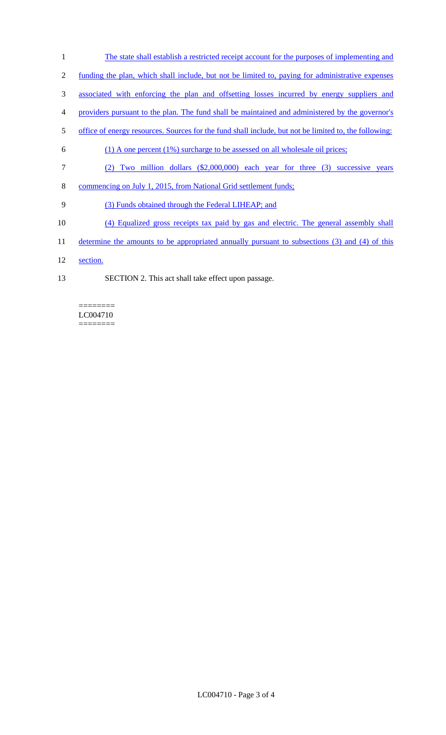The state shall establish a restricted receipt account for the purposes of implementing and funding the plan, which shall include, but not be limited to, paying for administrative expenses associated with enforcing the plan and offsetting losses incurred by energy suppliers and providers pursuant to the plan. The fund shall be maintained and administered by the governor's office of energy resources. Sources for the fund shall include, but not be limited to, the following: (1) A one percent (1%) surcharge to be assessed on all wholesale oil prices; (2) Two million dollars (\$2,000,000) each year for three (3) successive years commencing on July 1, 2015, from National Grid settlement funds; (3) Funds obtained through the Federal LIHEAP; and (4) Equalized gross receipts tax paid by gas and electric. The general assembly shall 11 determine the amounts to be appropriated annually pursuant to subsections (3) and (4) of this 12 section. SECTION 2. This act shall take effect upon passage.

#### ======== LC004710 ========